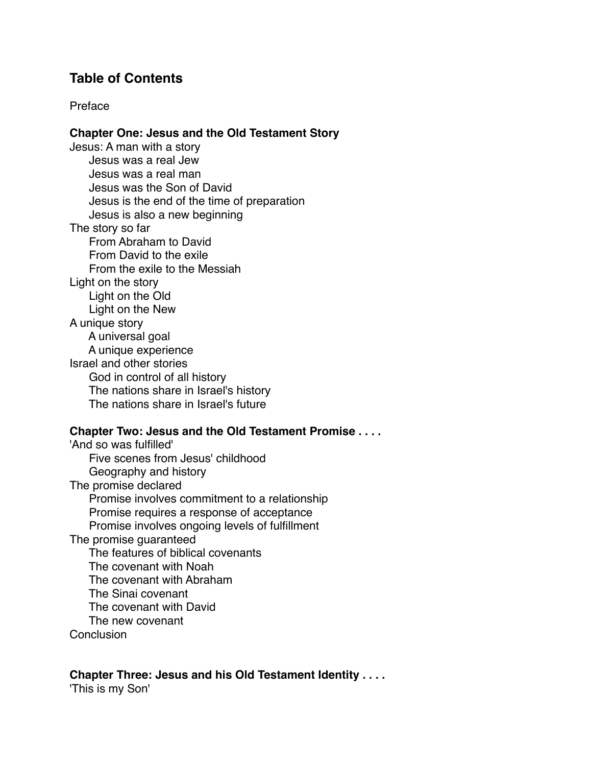# **Table of Contents**

## Preface

### **Chapter One: Jesus and the Old Testament Story**

Jesus: A man with a story Jesus was a real Jew Jesus was a real man Jesus was the Son of David Jesus is the end of the time of preparation Jesus is also a new beginning The story so far From Abraham to David From David to the exile From the exile to the Messiah Light on the story Light on the Old Light on the New A unique story A universal goal A unique experience Israel and other stories God in control of all history The nations share in Israel's history The nations share in Israel's future

#### **Chapter Two: Jesus and the Old Testament Promise . . . .**

'And so was fulfilled' Five scenes from Jesus' childhood Geography and history The promise declared Promise involves commitment to a relationship Promise requires a response of acceptance Promise involves ongoing levels of fulfillment The promise guaranteed The features of biblical covenants The covenant with Noah The covenant with Abraham The Sinai covenant The covenant with David The new covenant **Conclusion** 

#### **Chapter Three: Jesus and his Old Testament Identity . . . .**

'This is my Son'